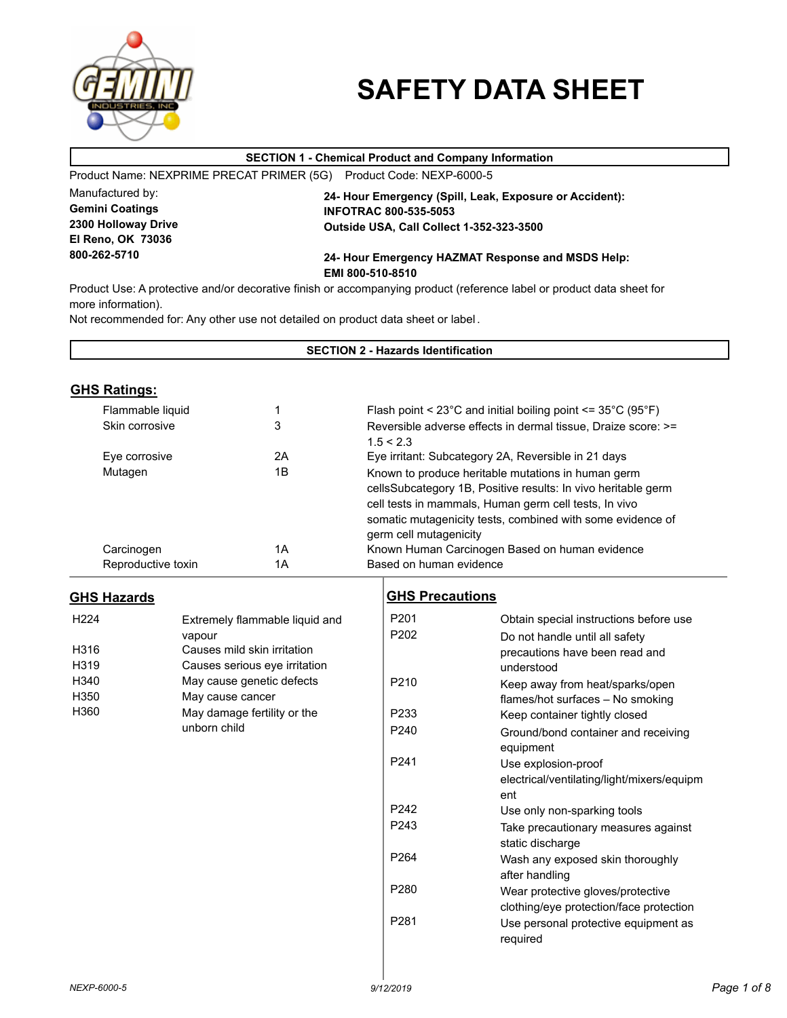

# **SAFETY DATA SHEET**

# **SECTION 1 - Chemical Product and Company Information**

Product Name: NEXPRIME PRECAT PRIMER (5G) Product Code: NEXP-6000-5

Manufactured by: **Gemini Coatings 2300 Holloway Drive El Reno, OK 73036 800-262-5710**

**24- Hour Emergency (Spill, Leak, Exposure or Accident): INFOTRAC 800-535-5053 Outside USA, Call Collect 1-352-323-3500**

# **24- Hour Emergency HAZMAT Response and MSDS Help: EMI 800-510-8510**

Product Use: A protective and/or decorative finish or accompanying product (reference label or product data sheet for more information).

Not recommended for: Any other use not detailed on product data sheet or label .

| <b>SECTION 2 - Hazards Identification</b> |                    |                                |                         |                                                                                                                     |  |  |
|-------------------------------------------|--------------------|--------------------------------|-------------------------|---------------------------------------------------------------------------------------------------------------------|--|--|
|                                           |                    |                                |                         |                                                                                                                     |  |  |
| <b>GHS Ratings:</b>                       |                    |                                |                         |                                                                                                                     |  |  |
|                                           | Flammable liquid   | 1                              |                         | Flash point < $23^{\circ}$ C and initial boiling point <= $35^{\circ}$ C ( $95^{\circ}$ F)                          |  |  |
|                                           | Skin corrosive     | 3                              |                         | Reversible adverse effects in dermal tissue, Draize score: >=                                                       |  |  |
|                                           |                    |                                | 1.5 < 2.3               |                                                                                                                     |  |  |
|                                           | Eye corrosive      | 2A                             |                         | Eye irritant: Subcategory 2A, Reversible in 21 days                                                                 |  |  |
| Mutagen                                   |                    | 1B                             |                         | Known to produce heritable mutations in human germ<br>cellsSubcategory 1B, Positive results: In vivo heritable germ |  |  |
|                                           |                    |                                |                         | cell tests in mammals, Human germ cell tests, In vivo                                                               |  |  |
|                                           |                    |                                |                         | somatic mutagenicity tests, combined with some evidence of                                                          |  |  |
|                                           |                    |                                | germ cell mutagenicity  |                                                                                                                     |  |  |
| Carcinogen                                |                    | 1A                             |                         | Known Human Carcinogen Based on human evidence                                                                      |  |  |
|                                           | Reproductive toxin | 1A                             | Based on human evidence |                                                                                                                     |  |  |
| <b>GHS Hazards</b>                        |                    |                                | <b>GHS Precautions</b>  |                                                                                                                     |  |  |
| H <sub>224</sub>                          |                    |                                | P201                    |                                                                                                                     |  |  |
|                                           | vapour             | Extremely flammable liquid and | P202                    | Obtain special instructions before use                                                                              |  |  |
| H316                                      |                    | Causes mild skin irritation    |                         | Do not handle until all safety<br>precautions have been read and                                                    |  |  |
| H319                                      |                    | Causes serious eye irritation  |                         | understood                                                                                                          |  |  |
| H340                                      |                    | May cause genetic defects      | P <sub>210</sub>        | Keep away from heat/sparks/open                                                                                     |  |  |
| H350                                      | May cause cancer   |                                |                         | flames/hot surfaces - No smoking                                                                                    |  |  |
| H360                                      |                    | May damage fertility or the    | P <sub>233</sub>        | Keep container tightly closed                                                                                       |  |  |
|                                           | unborn child       |                                | P <sub>240</sub>        | Ground/bond container and receiving                                                                                 |  |  |
|                                           |                    |                                |                         | equipment                                                                                                           |  |  |
|                                           |                    |                                | P <sub>241</sub>        | Use explosion-proof                                                                                                 |  |  |
|                                           |                    |                                |                         | electrical/ventilating/light/mixers/equipm                                                                          |  |  |
|                                           |                    |                                |                         | ent                                                                                                                 |  |  |
|                                           |                    |                                | P242                    | Use only non-sparking tools                                                                                         |  |  |
|                                           |                    |                                | P243                    | Take precautionary measures against                                                                                 |  |  |
|                                           |                    |                                |                         | static discharge                                                                                                    |  |  |
|                                           |                    |                                | P <sub>264</sub>        | Wash any exposed skin thoroughly<br>after handling                                                                  |  |  |
|                                           |                    |                                | P <sub>280</sub>        | Wear protective gloves/protective                                                                                   |  |  |
|                                           |                    |                                |                         | clothing/eye protection/face protection                                                                             |  |  |
|                                           |                    |                                | P <sub>281</sub>        | Use personal protective equipment as<br>required                                                                    |  |  |
|                                           |                    |                                |                         |                                                                                                                     |  |  |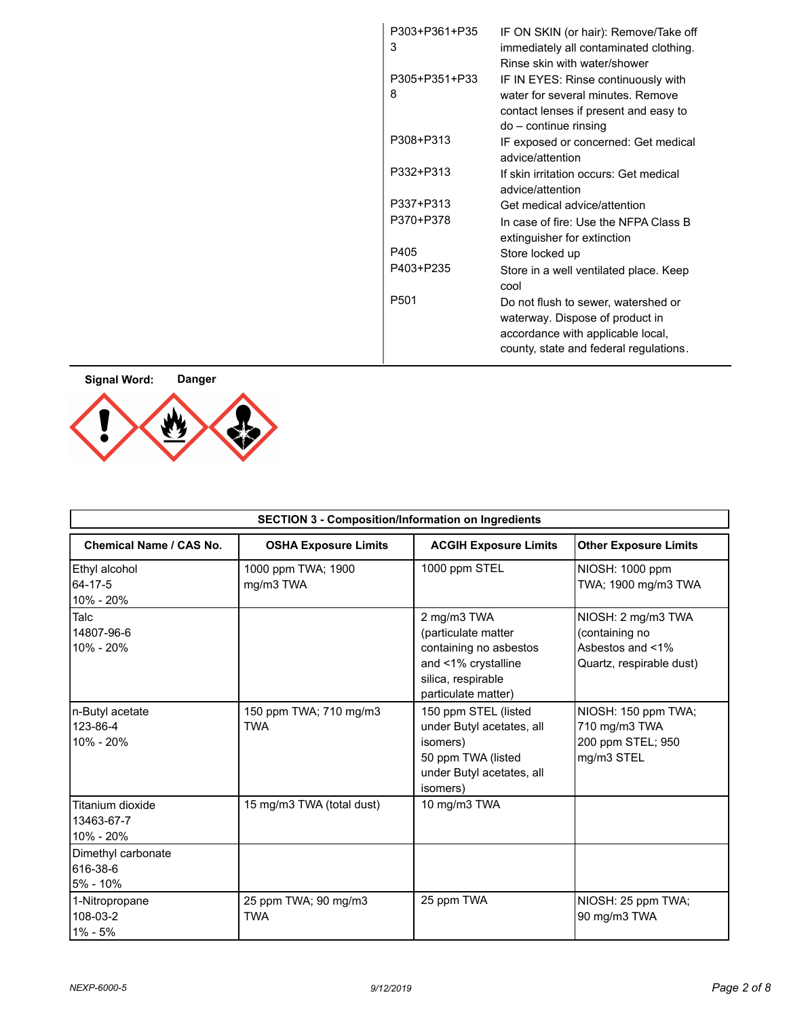| P303+P361+P35<br>3 | IF ON SKIN (or hair): Remove/Take off<br>immediately all contaminated clothing.<br>Rinse skin with water/shower                                       |
|--------------------|-------------------------------------------------------------------------------------------------------------------------------------------------------|
| P305+P351+P33<br>8 | IF IN EYES: Rinse continuously with<br>water for several minutes. Remove<br>contact lenses if present and easy to<br>$do$ – continue rinsing          |
| P308+P313          | IF exposed or concerned: Get medical<br>advice/attention                                                                                              |
| P332+P313          | If skin irritation occurs: Get medical<br>advice/attention                                                                                            |
| P337+P313          | Get medical advice/attention                                                                                                                          |
| P370+P378          | In case of fire: Use the NFPA Class B<br>extinguisher for extinction                                                                                  |
| P405               | Store locked up                                                                                                                                       |
| P403+P235          | Store in a well ventilated place. Keep<br>cool                                                                                                        |
| P <sub>501</sub>   | Do not flush to sewer, watershed or<br>waterway. Dispose of product in<br>accordance with applicable local,<br>county, state and federal regulations. |



| <b>SECTION 3 - Composition/Information on Ingredients</b> |                                      |                                                                                                                                  |                                                                                      |  |
|-----------------------------------------------------------|--------------------------------------|----------------------------------------------------------------------------------------------------------------------------------|--------------------------------------------------------------------------------------|--|
| Chemical Name / CAS No.                                   | <b>OSHA Exposure Limits</b>          | <b>ACGIH Exposure Limits</b>                                                                                                     | <b>Other Exposure Limits</b>                                                         |  |
| Ethyl alcohol<br>64-17-5<br>10% - 20%                     | 1000 ppm TWA; 1900<br>mg/m3 TWA      | 1000 ppm STEL                                                                                                                    | NIOSH: 1000 ppm<br>TWA; 1900 mg/m3 TWA                                               |  |
| Talc<br>14807-96-6<br>10% - 20%                           |                                      | 2 mg/m3 TWA<br>(particulate matter<br>containing no asbestos<br>and <1% crystalline<br>silica, respirable<br>particulate matter) | NIOSH: 2 mg/m3 TWA<br>(containing no<br>Asbestos and <1%<br>Quartz, respirable dust) |  |
| n-Butyl acetate<br>123-86-4<br>10% - 20%                  | 150 ppm TWA; 710 mg/m3<br><b>TWA</b> | 150 ppm STEL (listed<br>under Butyl acetates, all<br>isomers)<br>50 ppm TWA (listed<br>under Butyl acetates, all<br>isomers)     | NIOSH: 150 ppm TWA;<br>710 mg/m3 TWA<br>200 ppm STEL; 950<br>mg/m3 STEL              |  |
| Titanium dioxide<br>13463-67-7<br>10% - 20%               | 15 mg/m3 TWA (total dust)            | 10 mg/m3 TWA                                                                                                                     |                                                                                      |  |
| Dimethyl carbonate<br>616-38-6<br>5% - 10%                |                                      |                                                                                                                                  |                                                                                      |  |
| 1-Nitropropane<br>108-03-2<br>$1\% - 5\%$                 | 25 ppm TWA; 90 mg/m3<br><b>TWA</b>   | 25 ppm TWA                                                                                                                       | NIOSH: 25 ppm TWA;<br>90 mg/m3 TWA                                                   |  |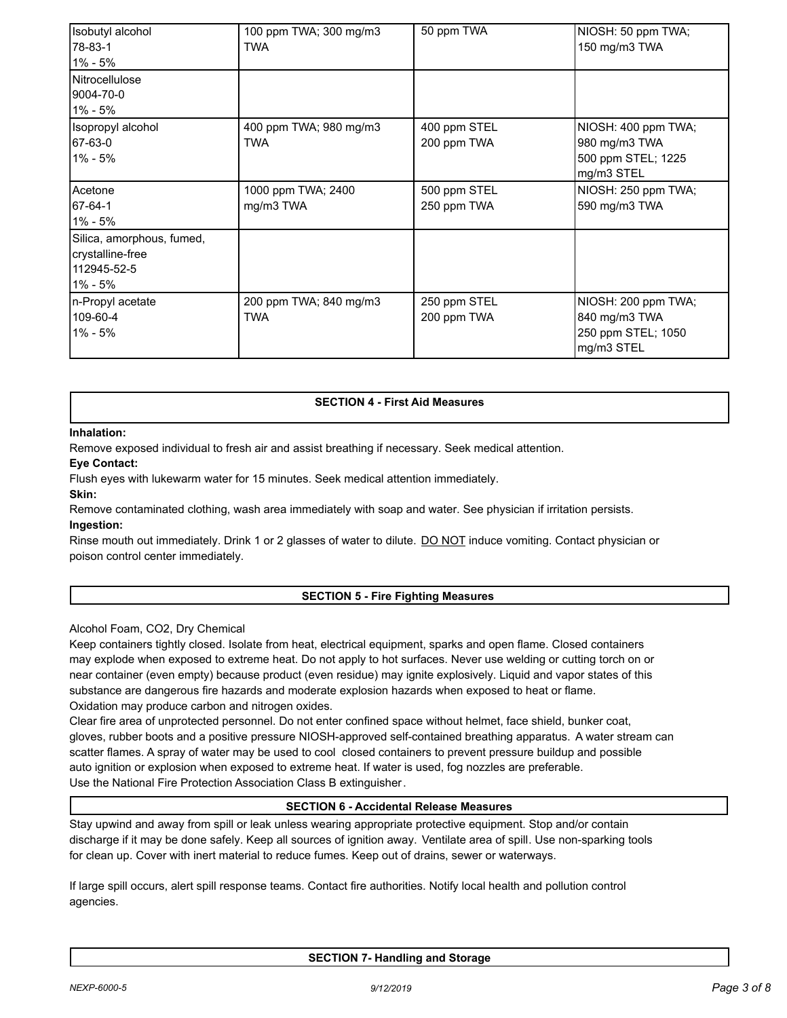| Isobutyl alcohol<br>178-83-1<br> 1% - 5%                                | 100 ppm TWA; 300 mg/m3<br><b>TWA</b> | 50 ppm TWA                  | NIOSH: 50 ppm TWA;<br>150 mg/m3 TWA                                      |
|-------------------------------------------------------------------------|--------------------------------------|-----------------------------|--------------------------------------------------------------------------|
| Nitrocellulose<br>9004-70-0<br>1% - 5%                                  |                                      |                             |                                                                          |
| Isopropyl alcohol<br>67-63-0<br>$1\% - 5\%$                             | 400 ppm TWA; 980 mg/m3<br><b>TWA</b> | 400 ppm STEL<br>200 ppm TWA | NIOSH: 400 ppm TWA;<br>980 mg/m3 TWA<br>500 ppm STEL; 1225<br>mg/m3 STEL |
| Acetone<br>67-64-1<br>1% - 5%                                           | 1000 ppm TWA; 2400<br>mg/m3 TWA      | 500 ppm STEL<br>250 ppm TWA | NIOSH: 250 ppm TWA;<br>590 mg/m3 TWA                                     |
| Silica, amorphous, fumed,<br>crystalline-free<br>112945-52-5<br>1% - 5% |                                      |                             |                                                                          |
| n-Propyl acetate<br>109-60-4<br>1% - 5%                                 | 200 ppm TWA; 840 mg/m3<br><b>TWA</b> | 250 ppm STEL<br>200 ppm TWA | NIOSH: 200 ppm TWA;<br>840 mg/m3 TWA<br>250 ppm STEL; 1050<br>mg/m3 STEL |

# **SECTION 4 - First Aid Measures**

## **Inhalation:**

Remove exposed individual to fresh air and assist breathing if necessary. Seek medical attention.

#### **Eye Contact:**

Flush eyes with lukewarm water for 15 minutes. Seek medical attention immediately.

**Skin:**

Remove contaminated clothing, wash area immediately with soap and water. See physician if irritation persists. **Ingestion:**

Rinse mouth out immediately. Drink 1 or 2 glasses of water to dilute. DO NOT induce vomiting. Contact physician or poison control center immediately.

# **SECTION 5 - Fire Fighting Measures**

# Alcohol Foam, CO2, Dry Chemical

Keep containers tightly closed. Isolate from heat, electrical equipment, sparks and open flame. Closed containers may explode when exposed to extreme heat. Do not apply to hot surfaces. Never use welding or cutting torch on or near container (even empty) because product (even residue) may ignite explosively. Liquid and vapor states of this substance are dangerous fire hazards and moderate explosion hazards when exposed to heat or flame. Oxidation may produce carbon and nitrogen oxides.

Clear fire area of unprotected personnel. Do not enter confined space without helmet, face shield, bunker coat, gloves, rubber boots and a positive pressure NIOSH-approved self-contained breathing apparatus. A water stream can scatter flames. A spray of water may be used to cool closed containers to prevent pressure buildup and possible auto ignition or explosion when exposed to extreme heat. If water is used, fog nozzles are preferable. Use the National Fire Protection Association Class B extinguisher.

# **SECTION 6 - Accidental Release Measures**

Stay upwind and away from spill or leak unless wearing appropriate protective equipment. Stop and/or contain discharge if it may be done safely. Keep all sources of ignition away. Ventilate area of spill. Use non-sparking tools for clean up. Cover with inert material to reduce fumes. Keep out of drains, sewer or waterways.

If large spill occurs, alert spill response teams. Contact fire authorities. Notify local health and pollution control agencies.

**SECTION 7- Handling and Storage**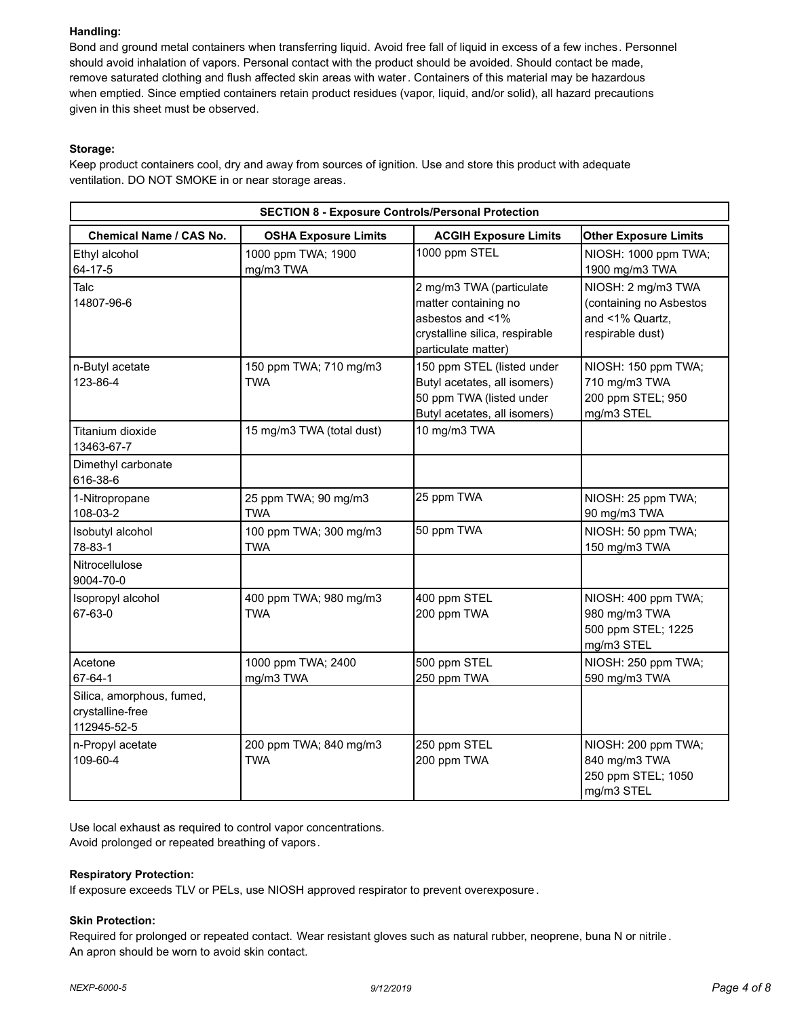# **Handling:**

Bond and ground metal containers when transferring liquid. Avoid free fall of liquid in excess of a few inches. Personnel should avoid inhalation of vapors. Personal contact with the product should be avoided. Should contact be made, remove saturated clothing and flush affected skin areas with water. Containers of this material may be hazardous when emptied. Since emptied containers retain product residues (vapor, liquid, and/or solid), all hazard precautions given in this sheet must be observed.

# **Storage:**

Keep product containers cool, dry and away from sources of ignition. Use and store this product with adequate ventilation. DO NOT SMOKE in or near storage areas.

| <b>SECTION 8 - Exposure Controls/Personal Protection</b>     |                                                                                             |                                                                                                                               |                                                                                      |  |  |  |  |  |
|--------------------------------------------------------------|---------------------------------------------------------------------------------------------|-------------------------------------------------------------------------------------------------------------------------------|--------------------------------------------------------------------------------------|--|--|--|--|--|
| Chemical Name / CAS No.                                      | <b>Other Exposure Limits</b><br><b>OSHA Exposure Limits</b><br><b>ACGIH Exposure Limits</b> |                                                                                                                               |                                                                                      |  |  |  |  |  |
| Ethyl alcohol<br>64-17-5                                     | 1000 ppm TWA; 1900<br>mg/m3 TWA                                                             | 1000 ppm STEL                                                                                                                 | NIOSH: 1000 ppm TWA;<br>1900 mg/m3 TWA                                               |  |  |  |  |  |
| Talc<br>14807-96-6                                           |                                                                                             | 2 mg/m3 TWA (particulate<br>matter containing no<br>asbestos and <1%<br>crystalline silica, respirable<br>particulate matter) | NIOSH: 2 mg/m3 TWA<br>(containing no Asbestos<br>and <1% Quartz,<br>respirable dust) |  |  |  |  |  |
| n-Butyl acetate<br>123-86-4                                  | 150 ppm TWA; 710 mg/m3<br><b>TWA</b>                                                        | 150 ppm STEL (listed under<br>Butyl acetates, all isomers)<br>50 ppm TWA (listed under<br>Butyl acetates, all isomers)        | NIOSH: 150 ppm TWA;<br>710 mg/m3 TWA<br>200 ppm STEL; 950<br>mg/m3 STEL              |  |  |  |  |  |
| Titanium dioxide<br>13463-67-7                               | 15 mg/m3 TWA (total dust)                                                                   | 10 mg/m3 TWA                                                                                                                  |                                                                                      |  |  |  |  |  |
| Dimethyl carbonate<br>616-38-6                               |                                                                                             |                                                                                                                               |                                                                                      |  |  |  |  |  |
| 1-Nitropropane<br>108-03-2                                   | 25 ppm TWA; 90 mg/m3<br><b>TWA</b>                                                          | 25 ppm TWA                                                                                                                    | NIOSH: 25 ppm TWA;<br>90 mg/m3 TWA                                                   |  |  |  |  |  |
| Isobutyl alcohol<br>78-83-1                                  | 100 ppm TWA; 300 mg/m3<br><b>TWA</b>                                                        | 50 ppm TWA                                                                                                                    | NIOSH: 50 ppm TWA;<br>150 mg/m3 TWA                                                  |  |  |  |  |  |
| Nitrocellulose<br>9004-70-0                                  |                                                                                             |                                                                                                                               |                                                                                      |  |  |  |  |  |
| Isopropyl alcohol<br>67-63-0                                 | 400 ppm TWA; 980 mg/m3<br><b>TWA</b>                                                        | 400 ppm STEL<br>200 ppm TWA                                                                                                   | NIOSH: 400 ppm TWA;<br>980 mg/m3 TWA<br>500 ppm STEL; 1225<br>mg/m3 STEL             |  |  |  |  |  |
| Acetone<br>67-64-1                                           | 1000 ppm TWA; 2400<br>mg/m3 TWA                                                             | 500 ppm STEL<br>250 ppm TWA                                                                                                   | NIOSH: 250 ppm TWA;<br>590 mg/m3 TWA                                                 |  |  |  |  |  |
| Silica, amorphous, fumed,<br>crystalline-free<br>112945-52-5 |                                                                                             |                                                                                                                               |                                                                                      |  |  |  |  |  |
| n-Propyl acetate<br>109-60-4                                 | 200 ppm TWA; 840 mg/m3<br><b>TWA</b>                                                        | 250 ppm STEL<br>200 ppm TWA                                                                                                   | NIOSH: 200 ppm TWA;<br>840 mg/m3 TWA<br>250 ppm STEL; 1050<br>mg/m3 STEL             |  |  |  |  |  |

Use local exhaust as required to control vapor concentrations. Avoid prolonged or repeated breathing of vapors.

## **Respiratory Protection:**

If exposure exceeds TLV or PELs, use NIOSH approved respirator to prevent overexposure.

## **Skin Protection:**

Required for prolonged or repeated contact. Wear resistant gloves such as natural rubber, neoprene, buna N or nitrile . An apron should be worn to avoid skin contact.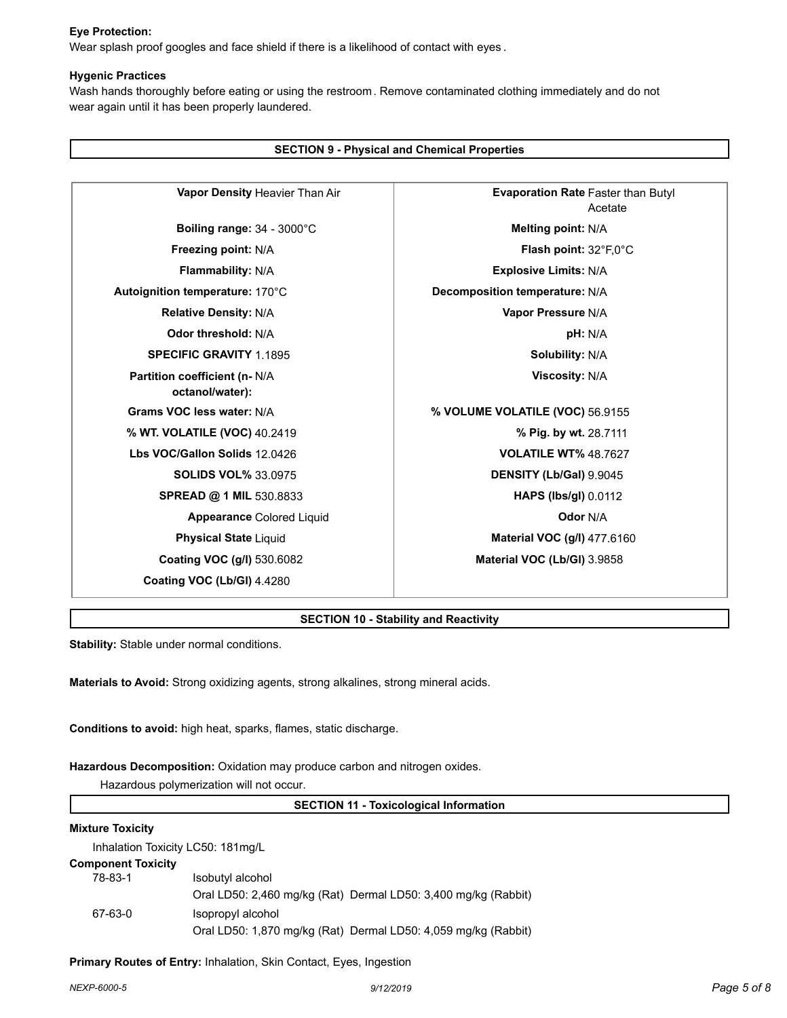# **Eye Protection:**

Wear splash proof googles and face shield if there is a likelihood of contact with eyes .

### **Hygenic Practices**

Wash hands thoroughly before eating or using the restroom. Remove contaminated clothing immediately and do not wear again until it has been properly laundered.

| <b>SECTION 9 - Physical and Chemical Properties</b> |                                                      |  |  |  |
|-----------------------------------------------------|------------------------------------------------------|--|--|--|
| Vapor Density Heavier Than Air                      | <b>Evaporation Rate Faster than Butyl</b><br>Acetate |  |  |  |
| Boiling range: 34 - 3000°C                          | Melting point: N/A                                   |  |  |  |
| Freezing point: N/A                                 | <b>Flash point:</b> $32^{\circ}F,0^{\circ}C$         |  |  |  |
| Flammability: N/A                                   | <b>Explosive Limits: N/A</b>                         |  |  |  |
| Autoignition temperature: 170°C                     | Decomposition temperature: N/A                       |  |  |  |
| <b>Relative Density: N/A</b>                        | Vapor Pressure N/A                                   |  |  |  |
| Odor threshold: N/A                                 | pH: N/A                                              |  |  |  |
| <b>SPECIFIC GRAVITY 1.1895</b>                      | <b>Solubility: N/A</b>                               |  |  |  |
| Partition coefficient (n- N/A<br>octanol/water):    | <b>Viscosity: N/A</b>                                |  |  |  |
| Grams VOC less water: N/A                           | % VOLUME VOLATILE (VOC) 56.9155                      |  |  |  |
| % WT. VOLATILE (VOC) 40.2419                        | % Pig. by wt. 28.7111                                |  |  |  |
| Lbs VOC/Gallon Solids 12,0426                       | <b>VOLATILE WT% 48.7627</b>                          |  |  |  |
| <b>SOLIDS VOL% 33.0975</b>                          | DENSITY (Lb/Gal) 9.9045                              |  |  |  |
| <b>SPREAD @ 1 MIL 530.8833</b>                      | <b>HAPS (lbs/gl)</b> 0.0112                          |  |  |  |
| <b>Appearance Colored Liquid</b>                    | <b>Odor N/A</b>                                      |  |  |  |
| <b>Physical State Liquid</b>                        | <b>Material VOC (g/l) 477.6160</b>                   |  |  |  |
| Coating VOC (g/l) 530.6082                          | Material VOC (Lb/GI) 3.9858                          |  |  |  |
| Coating VOC (Lb/GI) 4.4280                          |                                                      |  |  |  |

## **SECTION 10 - Stability and Reactivity**

**Stability:** Stable under normal conditions.

**Materials to Avoid:** Strong oxidizing agents, strong alkalines, strong mineral acids.

**Conditions to avoid:** high heat, sparks, flames, static discharge.

**Hazardous Decomposition:** Oxidation may produce carbon and nitrogen oxides.

Hazardous polymerization will not occur.

**SECTION 11 - Toxicological Information**

### **Mixture Toxicity**

Inhalation Toxicity LC50: 181mg/L

**Component Toxicity**

| poo .ox.o |                                                                |
|-----------|----------------------------------------------------------------|
| 78-83-1   | Isobutyl alcohol                                               |
|           | Oral LD50: 2,460 mg/kg (Rat) Dermal LD50: 3,400 mg/kg (Rabbit) |
| 67-63-0   | Isopropyl alcohol                                              |
|           | Oral LD50: 1,870 mg/kg (Rat) Dermal LD50: 4,059 mg/kg (Rabbit) |

**Primary Routes of Entry:** Inhalation, Skin Contact, Eyes, Ingestion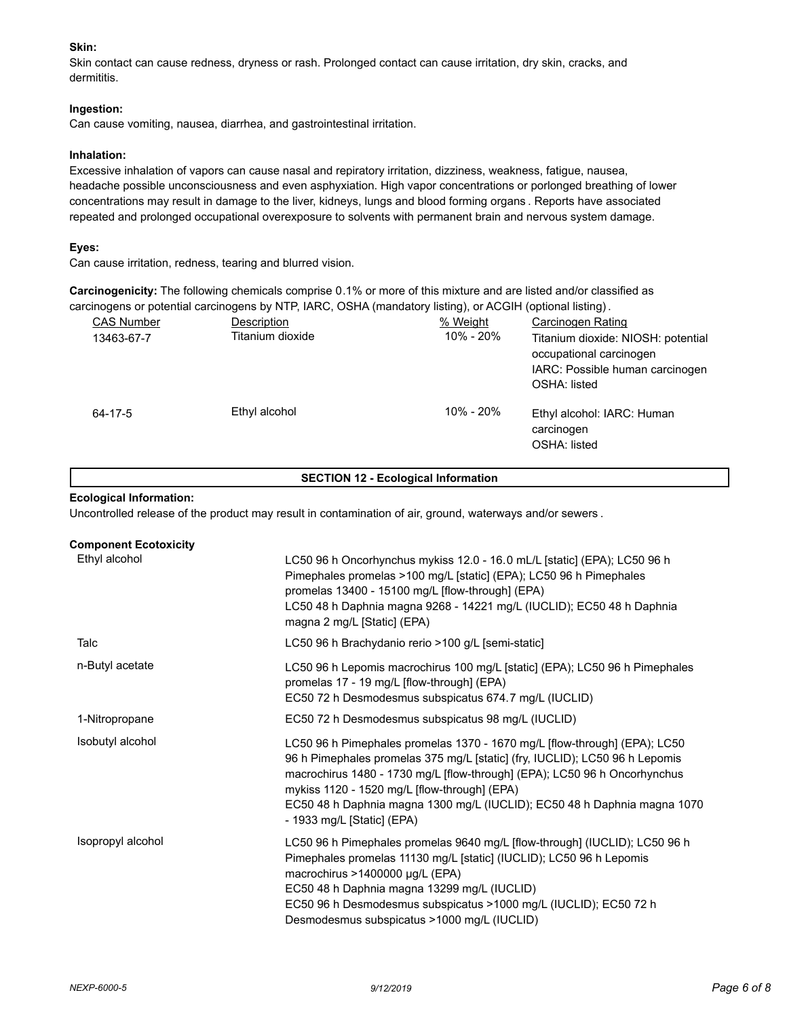# **Skin:**

Skin contact can cause redness, dryness or rash. Prolonged contact can cause irritation, dry skin, cracks, and dermititis.

# **Ingestion:**

Can cause vomiting, nausea, diarrhea, and gastrointestinal irritation.

# **Inhalation:**

Excessive inhalation of vapors can cause nasal and repiratory irritation, dizziness, weakness, fatigue, nausea, headache possible unconsciousness and even asphyxiation. High vapor concentrations or porlonged breathing of lower concentrations may result in damage to the liver, kidneys, lungs and blood forming organs . Reports have associated repeated and prolonged occupational overexposure to solvents with permanent brain and nervous system damage.

# **Eyes:**

Can cause irritation, redness, tearing and blurred vision.

**Carcinogenicity:** The following chemicals comprise 0.1% or more of this mixture and are listed and/or classified as carcinogens or potential carcinogens by NTP, IARC, OSHA (mandatory listing), or ACGIH (optional listing).

| <b>CAS Number</b> | Description      | % Weight  | Carcinogen Rating                                                                                                |
|-------------------|------------------|-----------|------------------------------------------------------------------------------------------------------------------|
| 13463-67-7        | Titanium dioxide | 10% - 20% | Titanium dioxide: NIOSH: potential<br>occupational carcinogen<br>IARC: Possible human carcinogen<br>OSHA: listed |
| 64-17-5           | Ethyl alcohol    | 10% - 20% | Ethyl alcohol: IARC: Human<br>carcinogen<br>OSHA: listed                                                         |

# **SECTION 12 - Ecological Information**

## **Ecological Information:**

Uncontrolled release of the product may result in contamination of air, ground, waterways and/or sewers .

| <b>Component Ecotoxicity</b> |                                                                                                                                                                                                                                                                                                                                                                                                 |
|------------------------------|-------------------------------------------------------------------------------------------------------------------------------------------------------------------------------------------------------------------------------------------------------------------------------------------------------------------------------------------------------------------------------------------------|
| Ethyl alcohol                | LC50 96 h Oncorhynchus mykiss 12.0 - 16.0 mL/L [static] (EPA); LC50 96 h<br>Pimephales promelas >100 mg/L [static] (EPA); LC50 96 h Pimephales<br>promelas 13400 - 15100 mg/L [flow-through] (EPA)<br>LC50 48 h Daphnia magna 9268 - 14221 mg/L (IUCLID); EC50 48 h Daphnia<br>magna 2 mg/L [Static] (EPA)                                                                                      |
| Talc                         | LC50 96 h Brachydanio rerio >100 g/L [semi-static]                                                                                                                                                                                                                                                                                                                                              |
| n-Butyl acetate              | LC50 96 h Lepomis macrochirus 100 mg/L [static] (EPA); LC50 96 h Pimephales<br>promelas 17 - 19 mg/L [flow-through] (EPA)<br>EC50 72 h Desmodesmus subspicatus 674.7 mg/L (IUCLID)                                                                                                                                                                                                              |
| 1-Nitropropane               | EC50 72 h Desmodesmus subspicatus 98 mg/L (IUCLID)                                                                                                                                                                                                                                                                                                                                              |
| Isobutyl alcohol             | LC50 96 h Pimephales promelas 1370 - 1670 mg/L [flow-through] (EPA); LC50<br>96 h Pimephales promelas 375 mg/L [static] (fry, IUCLID); LC50 96 h Lepomis<br>macrochirus 1480 - 1730 mg/L [flow-through] (EPA); LC50 96 h Oncorhynchus<br>mykiss 1120 - 1520 mg/L [flow-through] (EPA)<br>EC50 48 h Daphnia magna 1300 mg/L (IUCLID); EC50 48 h Daphnia magna 1070<br>- 1933 mg/L [Static] (EPA) |
| Isopropyl alcohol            | LC50 96 h Pimephales promelas 9640 mg/L [flow-through] (IUCLID); LC50 96 h<br>Pimephales promelas 11130 mg/L [static] (IUCLID); LC50 96 h Lepomis<br>macrochirus >1400000 µg/L (EPA)<br>EC50 48 h Daphnia magna 13299 mg/L (IUCLID)<br>EC50 96 h Desmodesmus subspicatus >1000 mg/L (IUCLID); EC50 72 h<br>Desmodesmus subspicatus >1000 mg/L (IUCLID)                                          |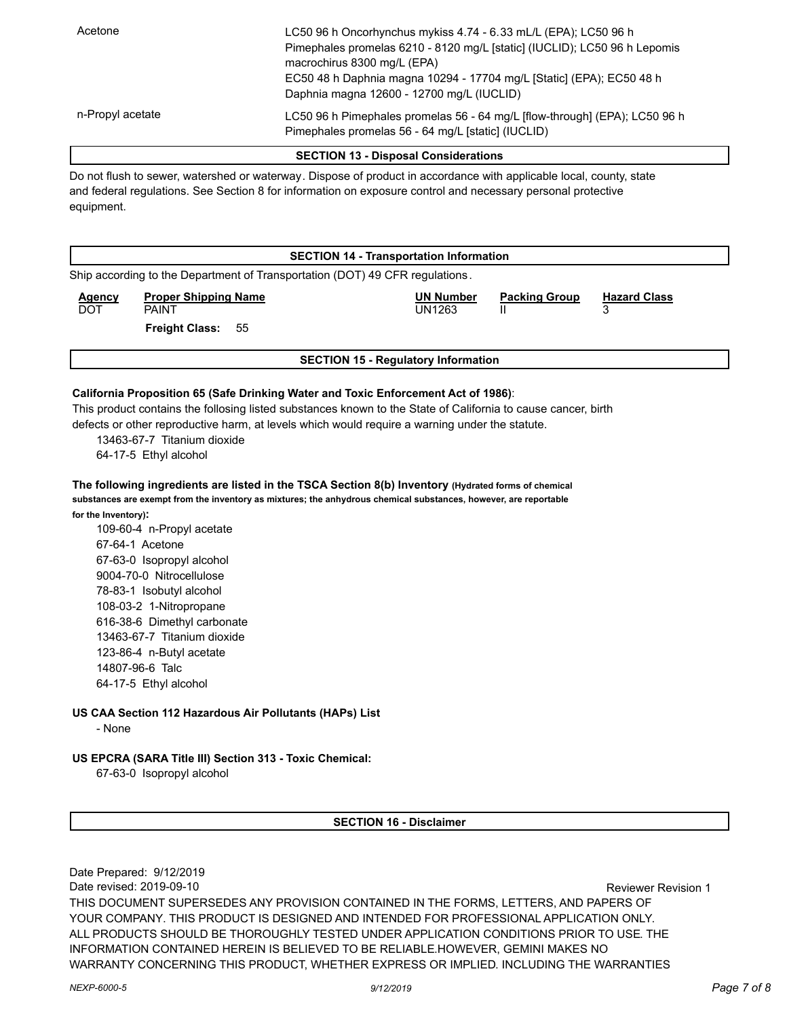| Acetone          | LC50 96 h Oncorhynchus mykiss 4.74 - 6.33 mL/L (EPA); LC50 96 h                                                                  |
|------------------|----------------------------------------------------------------------------------------------------------------------------------|
|                  | Pimephales promelas 6210 - 8120 mg/L [static] (IUCLID); LC50 96 h Lepomis                                                        |
|                  | macrochirus 8300 mg/L (EPA)                                                                                                      |
|                  | EC50 48 h Daphnia magna 10294 - 17704 mg/L [Static] (EPA); EC50 48 h                                                             |
|                  | Daphnia magna 12600 - 12700 mg/L (IUCLID)                                                                                        |
| n-Propyl acetate | LC50 96 h Pimephales promelas 56 - 64 mg/L [flow-through] (EPA); LC50 96 h<br>Pimephales promelas 56 - 64 mg/L [static] (IUCLID) |

#### **SECTION 13 - Disposal Considerations**

Do not flush to sewer, watershed or waterway. Dispose of product in accordance with applicable local, county, state and federal regulations. See Section 8 for information on exposure control and necessary personal protective equipment.

|                             | <b>SECTION 14 - Transportation Information</b>                               |                                            |                      |                          |  |  |  |
|-----------------------------|------------------------------------------------------------------------------|--------------------------------------------|----------------------|--------------------------|--|--|--|
|                             | Ship according to the Department of Transportation (DOT) 49 CFR regulations. |                                            |                      |                          |  |  |  |
| <b>Agency</b><br><b>DOT</b> | <b>Proper Shipping Name</b><br><b>PAINT</b>                                  | <b>UN Number</b><br>UN1263                 | <b>Packing Group</b> | <b>Hazard Class</b><br>ິ |  |  |  |
|                             | <b>Freight Class:</b><br>55                                                  |                                            |                      |                          |  |  |  |
|                             |                                                                              | <b>SECTION 15 - Regulatory Information</b> |                      |                          |  |  |  |
|                             |                                                                              |                                            |                      |                          |  |  |  |

# **California Proposition 65 (Safe Drinking Water and Toxic Enforcement Act of 1986)**:

This product contains the follosing listed substances known to the State of California to cause cancer, birth defects or other reproductive harm, at levels which would require a warning under the statute.

13463-67-7 Titanium dioxide

64-17-5 Ethyl alcohol

**The following ingredients are listed in the TSCA Section 8(b) Inventory (Hydrated forms of chemical substances are exempt from the inventory as mixtures; the anhydrous chemical substances, however, are reportable for the Inventory):**

109-60-4 n-Propyl acetate 67-64-1 Acetone 67-63-0 Isopropyl alcohol 9004-70-0 Nitrocellulose 78-83-1 Isobutyl alcohol 108-03-2 1-Nitropropane 616-38-6 Dimethyl carbonate 13463-67-7 Titanium dioxide 123-86-4 n-Butyl acetate 14807-96-6 Talc 64-17-5 Ethyl alcohol

# **US CAA Section 112 Hazardous Air Pollutants (HAPs) List**

- None

# **US EPCRA (SARA Title III) Section 313 - Toxic Chemical:**

67-63-0 Isopropyl alcohol

**SECTION 16 - Disclaimer**

Date Prepared: 9/12/2019 Date revised: 2019-09-10 Reviewer Revision 1 THIS DOCUMENT SUPERSEDES ANY PROVISION CONTAINED IN THE FORMS, LETTERS, AND PAPERS OF YOUR COMPANY. THIS PRODUCT IS DESIGNED AND INTENDED FOR PROFESSIONAL APPLICATION ONLY. ALL PRODUCTS SHOULD BE THOROUGHLY TESTED UNDER APPLICATION CONDITIONS PRIOR TO USE. THE INFORMATION CONTAINED HEREIN IS BELIEVED TO BE RELIABLE.HOWEVER, GEMINI MAKES NO WARRANTY CONCERNING THIS PRODUCT, WHETHER EXPRESS OR IMPLIED. INCLUDING THE WARRANTIES